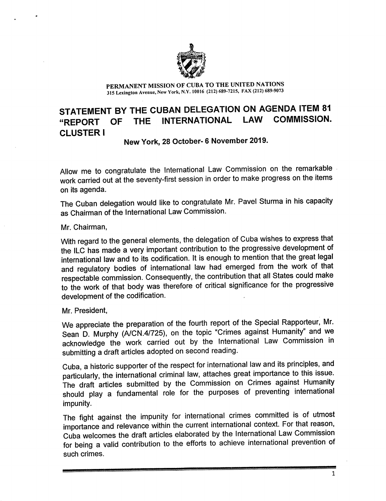

PERMANENT MISSION OF CUBA TO THE UNITED NATIONS 315 Lexington Avenue, New York, N.V. 10016 (212) 689-7215, FAX (212) 689-9073

# STATEMENT BY THE CUBAN DELEGATION ON AGENDA ITEM 81 "REPORT OF THE INTERNATIONAL LAW CLUSTER I

New York, 28 October- 6 November 2019.

Allow me to congratulate the International Law Commission on the remarkable work carried out at the seventy-first session in order to make progress on the items on its agenda.

The Cuban delegation would like to congratulate Mr. Pavel Sturma in his capacity as Chairman of the International Law Commission.

Mr. Chairman,

With regard to the general elements, the delegation of Cuba wishes to express that the ILC has made a very important contribution to the progressive development of international law and to its codification. It is enough to mention that the great legal and regulatory bodies of international law had emerged from the work of that respectable commission. Consequently, the contribution that all States could make to the work of that body was therefore of critical significance for the progressive development of the codification.

Mr. President,

We appreciate the preparation of the fourth report of the Special Rapporteur, Mr. Sean D. Murphy (A/CN.4/725), on the topic "Crimes against Humanity" and we acknowledge the work carried out by the International Law Commission in submitting a draft articles adopted on second reading.

Cuba, a historic supporter of the respect for international law and its principles, and particularly, the international criminal law, attaches great importance to this issue. The draft articles submitted by the Commission on Crimes against Humanity should play a fundamental role for the purposes of preventing international impunity.

The fight against the impunity for international crimes committed is of utmost importance and relevance within the current international context. For that reason, Cuba welcomes the draft articles elaborated by the International Law Commission for being a valid contribution to the efforts to achieve international prevention of such crimes.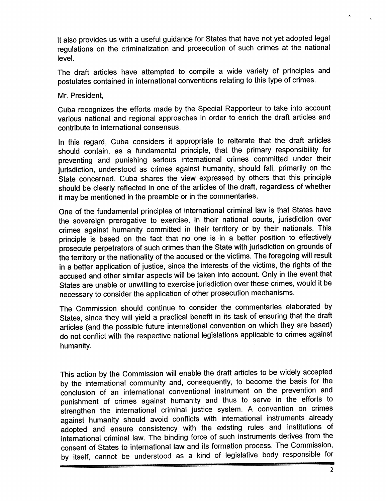It also provides us with a useful guidance for States that have not yet adopted legal regulations on the criminalization and prosecution of such crimes at the national level.

The draft articles have attempted to compile a wide variety of principles and postulates contained in international conventions relating to this type of crimes.

Mr. President,

Cuba recognizes the efforts made by the Special Rapporteur to take into account various national and regional approaches in order to enrich the draft articles and contribute to international consensus.

In this regard, Cuba considers it appropriate to reiterate that the draft articles should contain, as a fundamental principle, that the primary responsibility for preventing and punishing serious international crimes committed under their jurisdiction, understood as crimes against humanity, should fall, primarily on the State concerned. Cuba shares the view expressed by others that this principle should be clearly reflected in one of the articles of the draft, regardless of whether it may be mentioned in the preamble or in the commentaries.

One of the fundamental principles of international criminal law is that States have the sovereign prerogative to exercise, in their national courts, jurisdiction over crimes against humanity committed in their territory or by their nationals. This principle is based on the fact that no one is in a better position to effectively prosecute perpetrators of such crimes than the State with jurisdiction on grounds of the territory or the nationality of the accused or the victims. The foregoing will result in a better application of justice, since the interests of the victims, the rights of the accused and other similar aspects will be taken into account. Only in the event that States are unable or unwilling to exercise jurisdiction over these crimes, would it be necessary to consider the application of other prosecution mechanisms.

The Commission should continue to consider the commentaries elaborated by States, since they will yield a practical benefit in its task of ensuring that the draft articles (and the possible future international convention on which they are based) do not conflict with the respective national legislations applicable to crimes against humanity.

This action by the Commission will enable the draft articles to be widely accepted by the international community and, consequently, to become the basis for the conclusion of an international conventional instrument on the prevention and punishment of crimes against humanity and thus to serve in the efforts to strengthen the international criminal justice system. A convention on crimes against humanity should avoid conflicts with international instruments already adopted and ensure consistency with the existing rules and institutions of international criminal law. The binding force of such instruments derives from the consent of States to international law and its formation process. The Commission, by itself, cannot be understood as a kind of legislative body responsible for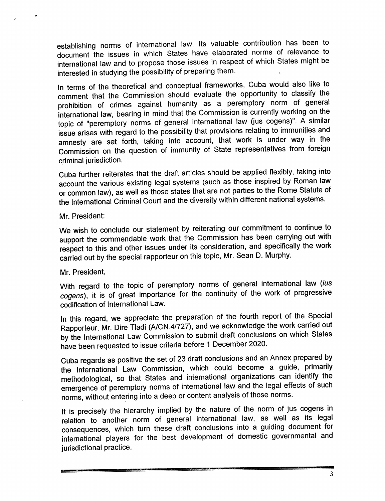establishing norms of international law. Its valuable contribution has been to document the issues in which States have elaborated norms of relevance to international law and to propose those issues in respect of which States might be interested in studying the possibility of preparing them.

In terms of the theoretical and conceptual frameworks, Cuba would also like to comment that the Commission should evaluate the opportunity to classify the prohibition of crimes against humanity as a peremptory norm of general international law, bearing in mind that the Commission is currently working on the topic of "peremptory norms of general international law (jus cogens)". A similar issue arises with regard to the possibility that provisions relating to immunities and amnesty are set forth, taking into account, that work is under way in the Commission on the question of immunity of State representatives from foreign criminal jurisdiction.

Cuba further reiterates that the draft articles should be applied flexibly, taking into account the various existing legal systems (such as those inspired by Roman law or common law), as well as those states that are not parties to the Rome Statute of the International Criminal Court and the diversity within different national systems.

Mr. President:

We wish to conclude our statement by reiterating our commitment to continue to support the commendable work that the Commission has been carrying out with respect to this and other issues under its consideration, and specifically the work carried out by the special rapporteur on this topic, Mr. Sean D. Murphy.

# Mr. President,

With regard to the topic of peremptory norms of general international law (ius cogens), it is of great importance for the continuity of the work of progressive codification of International Law.

In this regard, we appreciate the preparation of the fourth report of the Special Rapporteur, Mr. Dire TIadi (A/CN.4/727), and we acknowledge the work carried out by the International Law Commission to submit draft conclusions on which States have been requested to issue criteria before 1 December 2020.

Cuba regards as positive the set of 23 draft conclusions and an Annex prepared by the International Law Commission, which could become a guide, primarily methodological, so that States and international organizations can identify the emergence of peremptory norms of international law and the legal effects of such norms, without entering into a deep or content analysis of those norms.

It is precisely the hierarchy implied by the nature of the norm of jus cogens in relation to another norm of general international law, as well as its legal consequences, which turn these draft conclusions into a guiding document for international players for the best development of domestic governmental and jurisdictional practice.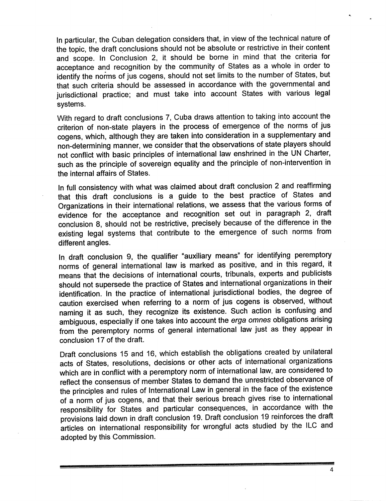In particular, the Cuban delegation considers that, In view of the technical nature of the topic, the draft conclusions should not be absolute or restrictive in their content and scope. In Conclusion 2, it should be borne in mind that the criteria for acceptance and recognition by the community of States as a whole in order to identify the norms of jus cogens, should not set limits to the number of States, but that such criteria should be assessed in accordance with the governmental and jurisdictional practice; and must take into account States with various legal systems.

With regard to draft conclusions 7, Cuba draws attention to taking into account the criterion of non-state players in the process of emergence of the norms of jus cogens, which, although they are taken into consideration in a supplementary and non-determlning manner, we consider that the observations of state players should not conflict with basic principles of international law enshrined in the UN Charter, such as the principle of sovereign equality and the principle of non-intervention in the internal affairs of States.

In full consistency with what was claimed about draft conclusion 2 and reaffirming that this draft conclusions is a guide to the best practice of States and Organizations in their international relations, we assess that the various forms of evidence for the acceptance and recognition set out in paragraph 2, draft conclusion 8, should not be restrictive, precisely because of the difference in the existing legal systems that contribute to the emergence of such norms from different angles.

In draft conclusion 9, the qualifier "auxiliary means" for Identifying peremptory norms of general international law is marked as positive, and in this regard, it means that the decisions of international courts, tribunals, experts and publicists should not supersede the practice of States and international organizations in their identification. In the practice of international jurisdictional bodies, the degree of caution exercised when referring to a norm of jus cogens is observed, without naming it as such, they recognize its existence. Such action is confusing and ambiguous, especially if one takes into account the erga omnes obligations arising from the peremptory norms of general international law just as they appear in conclusion 17 of the draft.

Draft conclusions 15 and 16, which establish the obligations created by unilateral acts of States, resolutions, decisions or other acts of international organizations which are in conflict with a peremptory norm of international law, are considered to reflect the consensus of member States to demand the unrestricted observance of the principles and rules of International Law in general in the face of the existence of a norm of jus cogens, and that their serious breach gives rise to international responsibility for States and particular consequences. In accordance with the provisions laid down in draft conclusion 19. Draft conclusion 19 reinforces the draft articles on international responsibility for wrongful acts studied by the ILC and adopted by this Commission.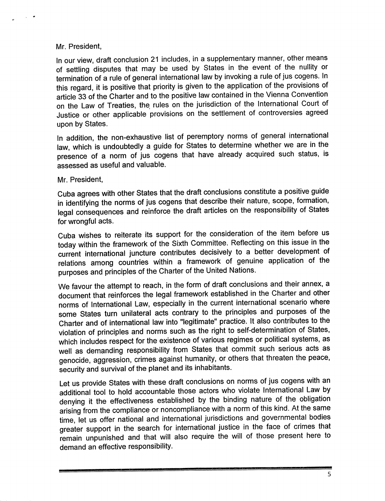## Mr. President,

 $\sim$ 

In our view, draft conclusion 21 includes, in a supplementary manner, other means of settling disputes that may be used by States in the event of the nullity or termination of a rule of general international law by invoking a rule of jus cogens. In this regard, it is positive that priority is given to the application of the provisions of article 33 of the Charter and to the positive law contained in the Vienna Convention on the Law of Treaties, the rules on the jurisdiction of the International Court of Justice or other applicable provisions on the settlement of controversies agreed upon by States.

In addition, the non-exhaustive list of peremptory norms of general international law, which is undoubtedly a guide for States to determine whether we are in the presence of a norm of jus cogens that have already acguired such status, is assessed as useful and valuable.

### Mr. President,

Cuba agrees with other States that the draft conclusions constitute a positive guide in identifying the norms of jus cogens that describe their nature, scope, formation, legal consequences and reinforce the draft articles on the responsibility of States for wrongful acts.

Cuba wishes to reiterate its support for the consideration of the item before us today within the framework of the Sixth Committee. Reflecting on this issue in the current international juncture contributes decisively to a better development of relations among countries within a framework of genuine application of the purposes and principles of the Charter of the United Nations.

We favour the attempt to reach, in the form of draft conclusions and their annex, a document that reinforces the legal framework established in the Charter and other norms of International Law, especially in the current international scenario where some States turn unilateral acts contrary to the principles and purposes of the Charter and of international law into "legitimate" practice. It also contributes to the violation of principles and norms such as the right to self-determination of States, which includes respect for the existence of various regimes or political systems, as well as demanding responsibility from States that commit such serious acts as genocide, aggression, crimes against humanity, or others that threaten the peace, security and survival of the planet and its inhabitants.

Let us provide States with these draft conclusions on norms of jus cogens with an additional tool to hold accountable those actors who violate International Law by denying it the effectiveness established by the binding nature of the obligation arising from the compliance or noncompliance with a norm of this kind. At the same time, let us offer national and international jurisdictions and governmental bodies greater support in the search for international justice in the face of crimes that remain unpunished and that will also require the will of those present here to demand an effective responsibility.